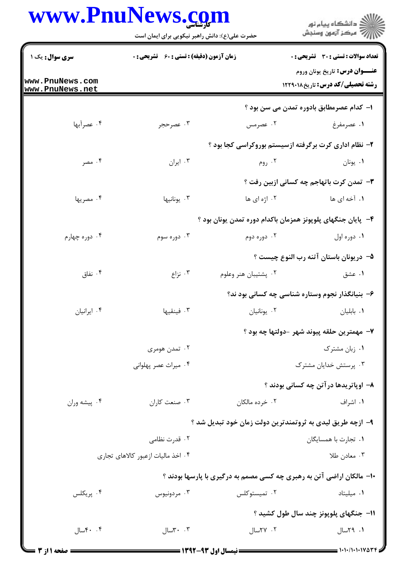## www.PnuNews.com

ر<br>اللاه دانشگاه پیام نور<br>۱۳۱۸ مرکز آزمون وسنجش حضرت علی(ع): دانش راهبر نیکویی برای ایمان است سری سوال: یک ۱ **زمان آزمون (دقیقه) : تستی : 60 گشریحی: 0 تعداد سوالات : تستي : 30 ٪ تشريحي : 0** عنــوان درس: تاريخ يونان وروم www.PnuNews.com **رشته تحصیلی/کد درس:** تاریخ۱۲۲۹۰۱۸ www.PnuNews.net ۱– کدام عصرمطابق بادورہ تمدن می سن بود ؟ ۰۴ عصرآبها ۰۳ عصرحجر ۰۲ عصرمس ٠١ عصرمفرغ ۲- نظام اداری کرت برگرفته ازسیستم بوروکراسی کجا بود ؟ ۰۴ مصر ۰۳ ایران $\cdot$ ۰۲  $, 99$ ۰۱. یونان **۳**- تمدن کرت باتهاجم چه کسانی ازبین رفت ؟ ۰۲ اژه ای ها ۰۴ مصریها ۰۳ يونانيها **۱.** آخه ای ها ۴– پایان جنگهای پلویونز همزمان باکدام دوره تمدن یونان بود ؟ ۰۴ دوره چهارم ۰۳ دوره سوم ۰۲ دوره دوم ۰۱ دوره اول ۵– دريونان باستان آتنه رب النوع چيست ؟ ۰۴ نفاق ۰۳ نزاع ۰۲ پشتیبان هنر وعلوم ۰۱ عشق ۶- بنیانگذار نجوم وستاره شناسی چه کسانی بود ند؟ ۰۴ ایرانیان ۰۳ فىنقىھا ۰۲ یونانیان ۰۱ بابلیان ٧- مهمترين حلقه پيوند شهر -دولتها چه بود ؟ ۰۲ تمدن هومری ۰۱ زبان مشترک ۰۴ میراث عصر پهلوانی ۰۳ پرستش خدایان مشترک ٨- اوپاتريدها در آتن چه کساني بودند ؟ ۰۱ اشراف ۰۴ پیشه وران ۰۳ صنعت کاران ۰۲ خرده مالکان ۹- ازچه طریق لیدی به ثروتمندترین دولت زمان خود تبدیل شد ؟ ٠٢ قدرت نظامي ۰۱ تجارت با همسایگان ۰۴ اخذ مالیات ازعبور کالاهای تجاری ۰۳ معادن طلا ۱۰- مالکان اراضی آتن به رهبری چه کسی مصمم به درگیری با پارسها بودند ؟ ۰۲ تمیستوکلس ۰۴ پريکلس ۰۱ میلیتاد بردونيوس  $\cdot$ ۳ . 1۱- جنگهای پلویونز چند سال طول کشید ؟ ٠١. ٢٩سال ۰۲ ۲۷سال ۰۴ ۲سال  $T - r$ سال $T$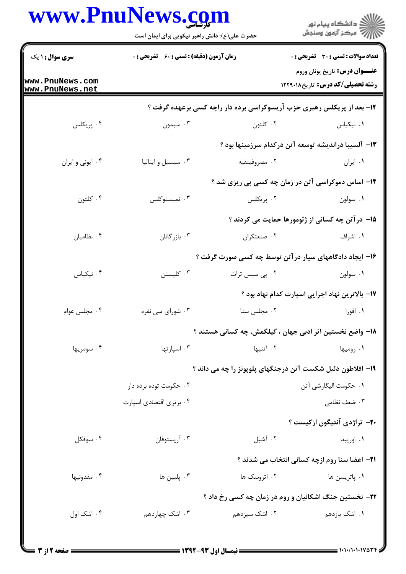|                                    | حضرت علی(ع): دانش راهبر نیکویی برای ایمان است              |                                                                        | ڪ دانشڪاه پيام نور<br>∕7 مرڪز آزمون وسنڊش                                         |  |
|------------------------------------|------------------------------------------------------------|------------------------------------------------------------------------|-----------------------------------------------------------------------------------|--|
| <b>سری سوال : ۱ یک</b>             | زمان آزمون (دقیقه) : تستی : 60 ٪ تشریحی : 0                |                                                                        | تعداد سوالات : تستى : 30 قشريحى : 0                                               |  |
| www.PnuNews.com<br>www.PnuNews.net |                                                            |                                                                        | <b>عنـــوان درس:</b> تاريخ يونان وروم<br><b>رشته تحصیلی/کد درس:</b> تاریخ ۱۲۲۹۰۱۸ |  |
|                                    |                                                            | ۱۲- بعد از پریکلس رهبری حزب آریسوکراسی برده دار راچه کسی برعهده گرفت ؟ |                                                                                   |  |
| ۰۴ پریکلس                          | ۰۳ سیمون                                                   | ۰۲ کلئون                                                               | ٠١. نيكياس                                                                        |  |
|                                    |                                                            | ۱۳– آلسیبا دراندیشه توسعه آتن درکدام سرزمینها بود ؟                    |                                                                                   |  |
| ۰۴ ایونی و ایران                   | ۰۳ سیسیل و ایتالیا                                         | ۰۲ مصروفينقيه                                                          | ۰۱ ایران                                                                          |  |
|                                    |                                                            | ۱۴– اساس دموکراسی آتن در زمان چه کسی پی ریزی شد ؟                      |                                                                                   |  |
| ۰۴ کلئون                           | ۰۳ تميستوكلس                                               | ۰۲ پريکلس                                                              | ۰۱ سولون                                                                          |  |
|                                    |                                                            |                                                                        | ۱۵– درآتن چه کسانی از ژئومورها حمایت می کردند ؟                                   |  |
| ۰۴ نظامیان                         | ۰۳ بازرگانان                                               | ۰۲ صنعتگران                                                            | ۰۱ اشراف                                                                          |  |
|                                    |                                                            | ۱۶– ایجاد دادگاههای سیار در آتن توسط چه کسی صورت گرفت ؟                |                                                                                   |  |
| ۰۴ نیکیاس                          | ۰۳ کلیستن                                                  | ۰۲ پی سیس ترات                                                         | ٠١ سولون                                                                          |  |
|                                    |                                                            |                                                                        | ۱۷– بالاترین نهاد اجرایی اسپارت کدام نهاد بود ؟                                   |  |
| ۰۴ مجلس عوام                       | ۰۳ شورای سی نفره                                           | ٠٢ مجلس سنا                                                            | ۰۱ افورا                                                                          |  |
|                                    |                                                            | <b>۱۸</b> – واضع نخستین اثر ادبی جهان ، گیلگمش، چه کسانی هستند ؟       |                                                                                   |  |
| ۰۴ سومريها                         | ۰۳ اسپارتها                                                | ۰۲ آتنیها                                                              | ۰۱ رومیها                                                                         |  |
|                                    | ۱۹– افلاطون دلیل شکست آتن درجنگهای پلوپونز را چه می داند ؟ |                                                                        |                                                                                   |  |
|                                    | ۰۲ حکومت توده برده دار                                     |                                                                        | ٠١ حكومت اليگارشي آتن                                                             |  |
|                                    | ۰۴ برتری اقتصادی اسپارت                                    |                                                                        | ۰۳ ضعف نظامی                                                                      |  |
|                                    |                                                            |                                                                        | <b>۰۲-</b> تراژدی آنتیگون ازکیست ؟                                                |  |
| ۰۴ سوفکل                           | ۰۳ آریستوفان                                               | ۰۲ آشیل                                                                | ۰۱ اورپيد                                                                         |  |
|                                    |                                                            |                                                                        | <b>21- اعضا سنا روم ازچه کسانی انتخاب می شدند</b> ؟                               |  |
| ۰۴ مقدونیها                        | ۰۳ پلبین ها                                                | ۰۲ اتروسک ها                                                           | ۰۱ پاتريسن ها                                                                     |  |
|                                    |                                                            | <b>۲۲- نخستین جنگ اشکانیان و روم در زمان چه کسی رخ داد</b> ؟           |                                                                                   |  |
| ۰۴ اشک اول                         | ۰۳ اشک چهاردهم                                             | ۰۲ اشک سیزدهم                                                          | ۰۱ اشک یازدهم                                                                     |  |